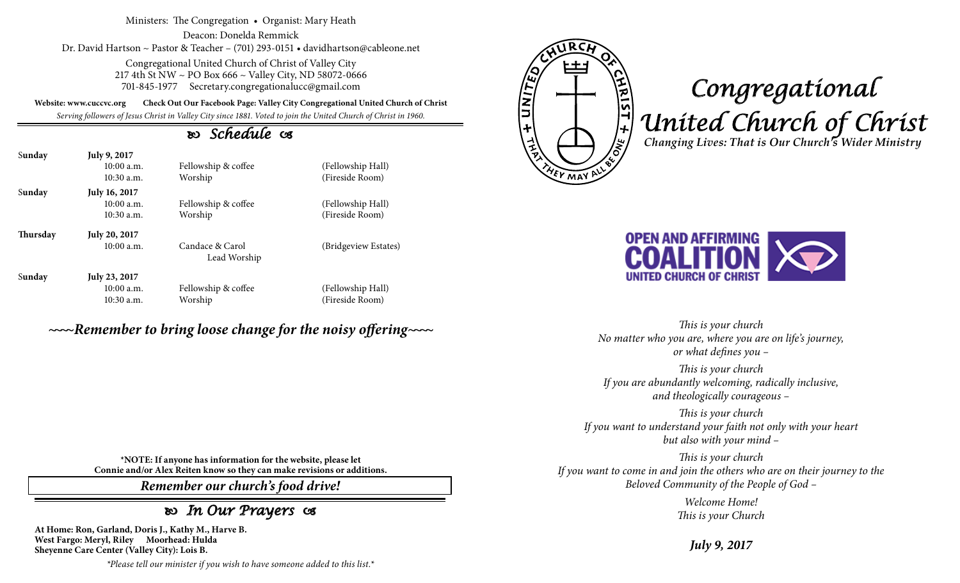Ministers: The Congregation • Organist: Mary Heath

Deacon: Donelda Remmick Dr. David Hartson ~ Pastor & Teacher – (701) 293-0151 • davidhartson@cableone.net

> Congregational United Church of Christ of Valley City 217 4th St NW ~ PO Box 666 ~ Valley City, ND 58072-0666 701-845-1977 Secretary.congregationalucc@gmail.com

**Website: www.cuccvc.org Check Out Our Facebook Page: Valley City Congregational United Church of Christ**

*Serving followers of Jesus Christ in Valley City since 1881. Voted to join the United Church of Christ in 1960.*

# *Schedule*

| Sunday   | <b>July 9, 2017</b><br>10:00a.m.<br>$10:30$ a.m.  | Fellowship & coffee<br>Worship  | (Fellowship Hall)<br>(Fireside Room) |
|----------|---------------------------------------------------|---------------------------------|--------------------------------------|
| Sunday   | <b>July 16, 2017</b><br>10:00a.m.<br>$10:30$ a.m. | Fellowship & coffee<br>Worship  | (Fellowship Hall)<br>(Fireside Room) |
| Thursday | <b>July 20, 2017</b><br>10:00a.m.                 | Candace & Carol<br>Lead Worship | (Bridgeview Estates)                 |
| Sunday   | July 23, 2017<br>10:00a.m.<br>$10:30$ a.m.        | Fellowship & coffee<br>Worship  | (Fellowship Hall)<br>(Fireside Room) |

# *~~~~Remember to bring loose change for the noisy offering~~~~*

E UNITED <u>VIRIST + WO</u> **YEV MAY A** 

# *Congregational United Church of Christ Changing Lives: That is Our Church's Wider Ministry*



*This is your church No matter who you are, where you are on life's journey, or what defines you –*

*This is your church If you are abundantly welcoming, radically inclusive, and theologically courageous –*

*This is your church If you want to understand your faith not only with your heart but also with your mind –*

*This is your church If you want to come in and join the others who are on their journey to the Beloved Community of the People of God –*

> *Welcome Home! This is your Church*

> > *July 9, 2017*

**\*NOTE: If anyone has information for the website, please let Connie and/or Alex Reiten know so they can make revisions or additions.**

*Remember our church's food drive!*

# *In Our Prayers*

**At Home: Ron, Garland, Doris J., Kathy M., Harve B. West Fargo: Meryl, Riley Moorhead: Hulda Sheyenne Care Center (Valley City): Lois B.**

*\*Please tell our minister if you wish to have someone added to this list.\**